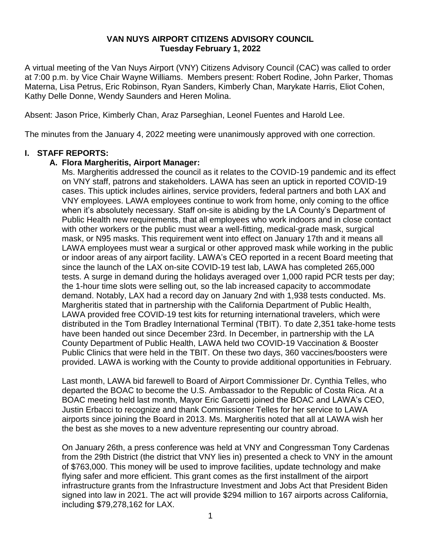## **VAN NUYS AIRPORT CITIZENS ADVISORY COUNCIL Tuesday February 1, 2022**

A virtual meeting of the Van Nuys Airport (VNY) Citizens Advisory Council (CAC) was called to order at 7:00 p.m. by Vice Chair Wayne Williams. Members present: Robert Rodine, John Parker, Thomas Materna, Lisa Petrus, Eric Robinson, Ryan Sanders, Kimberly Chan, Marykate Harris, Eliot Cohen, Kathy Delle Donne, Wendy Saunders and Heren Molina.

Absent: Jason Price, Kimberly Chan, Araz Parseghian, Leonel Fuentes and Harold Lee.

The minutes from the January 4, 2022 meeting were unanimously approved with one correction.

## **I. STAFF REPORTS:**

# **A. Flora Margheritis, Airport Manager:**

Ms. Margheritis addressed the council as it relates to the COVID-19 pandemic and its effect on VNY staff, patrons and stakeholders. LAWA has seen an uptick in reported COVID-19 cases. This uptick includes airlines, service providers, federal partners and both LAX and VNY employees. LAWA employees continue to work from home, only coming to the office when it's absolutely necessary. Staff on-site is abiding by the LA County's Department of Public Health new requirements, that all employees who work indoors and in close contact with other workers or the public must wear a well-fitting, medical-grade mask, surgical mask, or N95 masks. This requirement went into effect on January 17th and it means all LAWA employees must wear a surgical or other approved mask while working in the public or indoor areas of any airport facility. LAWA's CEO reported in a recent Board meeting that since the launch of the LAX on-site COVID-19 test lab, LAWA has completed 265,000 tests. A surge in demand during the holidays averaged over 1,000 rapid PCR tests per day; the 1-hour time slots were selling out, so the lab increased capacity to accommodate demand. Notably, LAX had a record day on January 2nd with 1,938 tests conducted. Ms. Margheritis stated that in partnership with the California Department of Public Health, LAWA provided free COVID-19 test kits for returning international travelers, which were distributed in the Tom Bradley International Terminal (TBIT). To date 2,351 take-home tests have been handed out since December 23rd. In December, in partnership with the LA County Department of Public Health, LAWA held two COVID-19 Vaccination & Booster Public Clinics that were held in the TBIT. On these two days, 360 vaccines/boosters were provided. LAWA is working with the County to provide additional opportunities in February.

Last month, LAWA bid farewell to Board of Airport Commissioner Dr. Cynthia Telles, who departed the BOAC to become the U.S. Ambassador to the Republic of Costa Rica. At a BOAC meeting held last month, Mayor Eric Garcetti joined the BOAC and LAWA's CEO, Justin Erbacci to recognize and thank Commissioner Telles for her service to LAWA airports since joining the Board in 2013. Ms. Margheritis noted that all at LAWA wish her the best as she moves to a new adventure representing our country abroad.

On January 26th, a press conference was held at VNY and Congressman Tony Cardenas from the 29th District (the district that VNY lies in) presented a check to VNY in the amount of \$763,000. This money will be used to improve facilities, update technology and make flying safer and more efficient. This grant comes as the first installment of the airport infrastructure grants from the Infrastructure Investment and Jobs Act that President Biden signed into law in 2021. The act will provide \$294 million to 167 airports across California, including \$79,278,162 for LAX.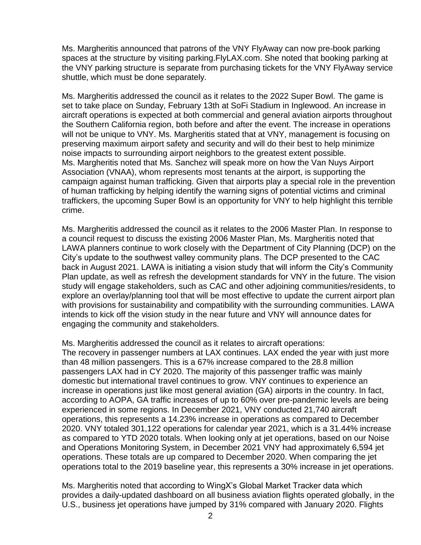Ms. Margheritis announced that patrons of the VNY FlyAway can now pre-book parking spaces at the structure by visiting parking.FlyLAX.com. She noted that booking parking at the VNY parking structure is separate from purchasing tickets for the VNY FlyAway service shuttle, which must be done separately.

Ms. Margheritis addressed the council as it relates to the 2022 Super Bowl. The game is set to take place on Sunday, February 13th at SoFi Stadium in Inglewood. An increase in aircraft operations is expected at both commercial and general aviation airports throughout the Southern California region, both before and after the event. The increase in operations will not be unique to VNY. Ms. Margheritis stated that at VNY, management is focusing on preserving maximum airport safety and security and will do their best to help minimize noise impacts to surrounding airport neighbors to the greatest extent possible. Ms. Margheritis noted that Ms. Sanchez will speak more on how the Van Nuys Airport Association (VNAA), whom represents most tenants at the airport, is supporting the campaign against human trafficking. Given that airports play a special role in the prevention of human trafficking by helping identify the warning signs of potential victims and criminal traffickers, the upcoming Super Bowl is an opportunity for VNY to help highlight this terrible crime.

Ms. Margheritis addressed the council as it relates to the 2006 Master Plan. In response to a council request to discuss the existing 2006 Master Plan, Ms. Margheritis noted that LAWA planners continue to work closely with the Department of City Planning (DCP) on the City's update to the southwest valley community plans. The DCP presented to the CAC back in August 2021. LAWA is initiating a vision study that will inform the City's Community Plan update, as well as refresh the development standards for VNY in the future. The vision study will engage stakeholders, such as CAC and other adjoining communities/residents, to explore an overlay/planning tool that will be most effective to update the current airport plan with provisions for sustainability and compatibility with the surrounding communities. LAWA intends to kick off the vision study in the near future and VNY will announce dates for engaging the community and stakeholders.

Ms. Margheritis addressed the council as it relates to aircraft operations: The recovery in passenger numbers at LAX continues. LAX ended the year with just more than 48 million passengers. This is a 67% increase compared to the 28.8 million passengers LAX had in CY 2020. The majority of this passenger traffic was mainly domestic but international travel continues to grow. VNY continues to experience an increase in operations just like most general aviation (GA) airports in the country. In fact, according to AOPA, GA traffic increases of up to 60% over pre-pandemic levels are being experienced in some regions. In December 2021, VNY conducted 21,740 aircraft operations, this represents a 14.23% increase in operations as compared to December 2020. VNY totaled 301,122 operations for calendar year 2021, which is a 31.44% increase as compared to YTD 2020 totals. When looking only at jet operations, based on our Noise and Operations Monitoring System, in December 2021 VNY had approximately 6,594 jet operations. These totals are up compared to December 2020. When comparing the jet operations total to the 2019 baseline year, this represents a 30% increase in jet operations.

Ms. Margheritis noted that according to WingX's Global Market Tracker data which provides a daily-updated dashboard on all business aviation flights operated globally, in the U.S., business jet operations have jumped by 31% compared with January 2020. Flights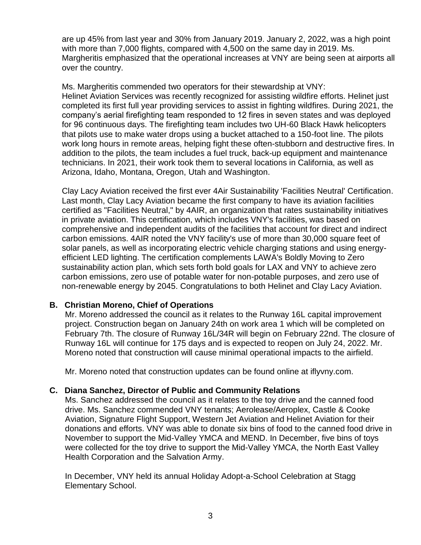are up 45% from last year and 30% from January 2019. January 2, 2022, was a high point with more than 7,000 flights, compared with 4,500 on the same day in 2019. Ms. Margheritis emphasized that the operational increases at VNY are being seen at airports all over the country.

Ms. Margheritis commended two operators for their stewardship at VNY: Helinet Aviation Services was recently recognized for assisting wildfire efforts. Helinet just completed its first full year providing services to assist in fighting wildfires. During 2021, the company's aerial firefighting team responded to 12 fires in seven states and was deployed for 96 continuous days. The firefighting team includes two UH-60 Black Hawk helicopters that pilots use to make water drops using a bucket attached to a 150-foot line. The pilots work long hours in remote areas, helping fight these often-stubborn and destructive fires. In addition to the pilots, the team includes a fuel truck, back-up equipment and maintenance technicians. In 2021, their work took them to several locations in California, as well as Arizona, Idaho, Montana, Oregon, Utah and Washington.

Clay Lacy Aviation received the first ever 4Air Sustainability 'Facilities Neutral' Certification. Last month, Clay Lacy Aviation became the first company to have its aviation facilities certified as "Facilities Neutral," by 4AIR, an organization that rates sustainability initiatives in private aviation. This certification, which includes VNY's facilities, was based on comprehensive and independent audits of the facilities that account for direct and indirect carbon emissions. 4AIR noted the VNY facility's use of more than 30,000 square feet of solar panels, as well as incorporating electric vehicle charging stations and using energyefficient LED lighting. The certification complements LAWA's Boldly Moving to Zero sustainability action plan, which sets forth bold goals for LAX and VNY to achieve zero carbon emissions, zero use of potable water for non-potable purposes, and zero use of non-renewable energy by 2045. Congratulations to both Helinet and Clay Lacy Aviation.

## **B. Christian Moreno, Chief of Operations**

Mr. Moreno addressed the council as it relates to the Runway 16L capital improvement project. Construction began on January 24th on work area 1 which will be completed on February 7th. The closure of Runway 16L/34R will begin on February 22nd. The closure of Runway 16L will continue for 175 days and is expected to reopen on July 24, 2022. Mr. Moreno noted that construction will cause minimal operational impacts to the airfield.

Mr. Moreno noted that construction updates can be found online at iflyvny.com.

# **C. Diana Sanchez, Director of Public and Community Relations**

Ms. Sanchez addressed the council as it relates to the toy drive and the canned food drive. Ms. Sanchez commended VNY tenants; Aerolease/Aeroplex, Castle & Cooke Aviation, Signature Flight Support, Western Jet Aviation and Helinet Aviation for their donations and efforts. VNY was able to donate six bins of food to the canned food drive in November to support the Mid-Valley YMCA and MEND. In December, five bins of toys were collected for the toy drive to support the Mid-Valley YMCA, the North East Valley Health Corporation and the Salvation Army.

In December, VNY held its annual Holiday Adopt-a-School Celebration at Stagg Elementary School.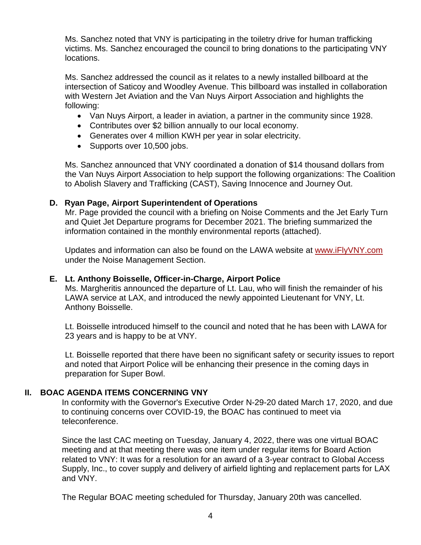Ms. Sanchez noted that VNY is participating in the toiletry drive for human trafficking victims. Ms. Sanchez encouraged the council to bring donations to the participating VNY locations.

Ms. Sanchez addressed the council as it relates to a newly installed billboard at the intersection of Saticoy and Woodley Avenue. This billboard was installed in collaboration with Western Jet Aviation and the Van Nuys Airport Association and highlights the following:

- Van Nuys Airport, a leader in aviation, a partner in the community since 1928.
- Contributes over \$2 billion annually to our local economy.
- Generates over 4 million KWH per year in solar electricity.
- Supports over 10,500 jobs.

Ms. Sanchez announced that VNY coordinated a donation of \$14 thousand dollars from the Van Nuys Airport Association to help support the following organizations: The Coalition to Abolish Slavery and Trafficking (CAST), Saving Innocence and Journey Out.

## **D. Ryan Page, Airport Superintendent of Operations**

Mr. Page provided the council with a briefing on Noise Comments and the Jet Early Turn and Quiet Jet Departure programs for December 2021. The briefing summarized the information contained in the monthly environmental reports (attached).

Updates and information can also be found on the LAWA website at [www.iFlyVNY.com](http://www.iflyvny.com/) under the Noise Management Section.

## **E. Lt. Anthony Boisselle, Officer-in-Charge, Airport Police**

Ms. Margheritis announced the departure of Lt. Lau, who will finish the remainder of his LAWA service at LAX, and introduced the newly appointed Lieutenant for VNY, Lt. Anthony Boisselle.

Lt. Boisselle introduced himself to the council and noted that he has been with LAWA for 23 years and is happy to be at VNY.

Lt. Boisselle reported that there have been no significant safety or security issues to report and noted that Airport Police will be enhancing their presence in the coming days in preparation for Super Bowl.

# **II. BOAC AGENDA ITEMS CONCERNING VNY**

In conformity with the Governor's Executive Order N-29-20 dated March 17, 2020, and due to continuing concerns over COVID-19, the BOAC has continued to meet via teleconference.

Since the last CAC meeting on Tuesday, January 4, 2022, there was one virtual BOAC meeting and at that meeting there was one item under regular items for Board Action related to VNY: It was for a resolution for an award of a 3-year contract to Global Access Supply, Inc., to cover supply and delivery of airfield lighting and replacement parts for LAX and VNY.

The Regular BOAC meeting scheduled for Thursday, January 20th was cancelled.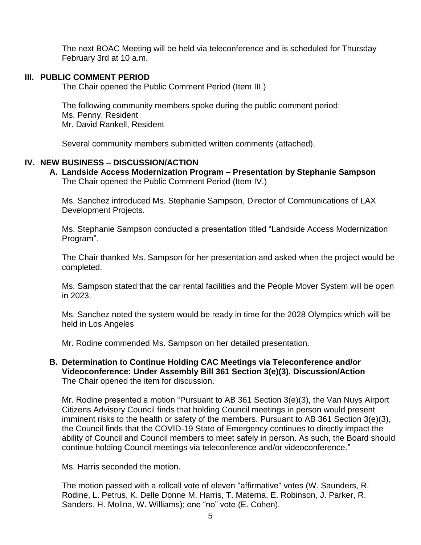The next BOAC Meeting will be held via teleconference and is scheduled for Thursday February 3rd at 10 a.m.

### **III. PUBLIC COMMENT PERIOD**

The Chair opened the Public Comment Period (Item III.)

The following community members spoke during the public comment period: Ms. Penny, Resident Mr. David Rankell, Resident

Several community members submitted written comments (attached).

### **IV. NEW BUSINESS – DISCUSSION/ACTION**

#### **A. Landside Access Modernization Program – Presentation by Stephanie Sampson** The Chair opened the Public Comment Period (Item IV.)

Ms. Sanchez introduced Ms. Stephanie Sampson, Director of Communications of LAX Development Projects.

Ms. Stephanie Sampson conducted a presentation titled "Landside Access Modernization Program".

The Chair thanked Ms. Sampson for her presentation and asked when the project would be completed.

Ms. Sampson stated that the car rental facilities and the People Mover System will be open in 2023.

Ms. Sanchez noted the system would be ready in time for the 2028 Olympics which will be held in Los Angeles

Mr. Rodine commended Ms. Sampson on her detailed presentation.

**B. Determination to Continue Holding CAC Meetings via Teleconference and/or Videoconference: Under Assembly Bill 361 Section 3(e)(3). Discussion/Action** The Chair opened the item for discussion.

Mr. Rodine presented a motion "Pursuant to AB 361 Section 3(e)(3), the Van Nuys Airport Citizens Advisory Council finds that holding Council meetings in person would present imminent risks to the health or safety of the members. Pursuant to AB 361 Section 3(e)(3), the Council finds that the COVID-19 State of Emergency continues to directly impact the ability of Council and Council members to meet safely in person. As such, the Board should continue holding Council meetings via teleconference and/or videoconference."

Ms. Harris seconded the motion.

The motion passed with a rollcall vote of eleven "affirmative" votes (W. Saunders, R. Rodine, L. Petrus, K. Delle Donne M. Harris, T. Materna, E. Robinson, J. Parker, R. Sanders, H. Molina, W. Williams); one "no" vote (E. Cohen).